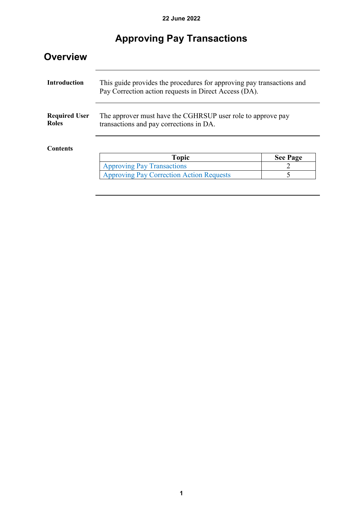# **Approving Pay Transactions**

| <b>Introduction</b>                                     | This guide provides the procedures for approving pay transactions and<br>Pay Correction action requests in Direct Access (DA). |                 |
|---------------------------------------------------------|--------------------------------------------------------------------------------------------------------------------------------|-----------------|
|                                                         |                                                                                                                                |                 |
|                                                         | The approver must have the CGHRSUP user role to approve pay<br>transactions and pay corrections in DA.                         |                 |
| <b>Required User</b><br><b>Roles</b><br><b>Contents</b> |                                                                                                                                |                 |
|                                                         | <b>Topic</b>                                                                                                                   | <b>See Page</b> |
|                                                         | <b>Approving Pay Transactions</b>                                                                                              |                 |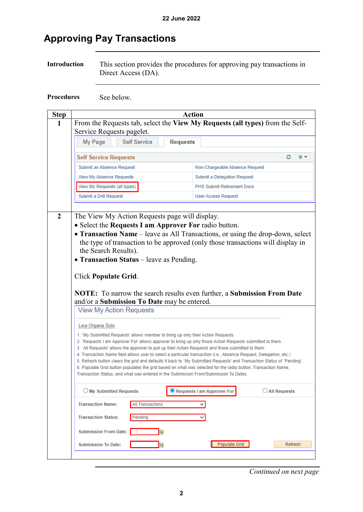### <span id="page-1-0"></span>**Approving Pay Transactions**

**Introduction** This section provides the procedures for approving pay transactions in Direct Access (DA).

**Procedures** See below.

|                                                                                                                                                                                                                                                                                                                                                                                                                                                                                                                                                                                                                                     | <b>Action</b>                                                                                                                                                                                                           |
|-------------------------------------------------------------------------------------------------------------------------------------------------------------------------------------------------------------------------------------------------------------------------------------------------------------------------------------------------------------------------------------------------------------------------------------------------------------------------------------------------------------------------------------------------------------------------------------------------------------------------------------|-------------------------------------------------------------------------------------------------------------------------------------------------------------------------------------------------------------------------|
| From the Requests tab, select the View My Requests (all types) from the Self-<br>Service Requests pagelet.                                                                                                                                                                                                                                                                                                                                                                                                                                                                                                                          |                                                                                                                                                                                                                         |
| <b>Self Service</b><br>My Page<br><b>Requests</b>                                                                                                                                                                                                                                                                                                                                                                                                                                                                                                                                                                                   |                                                                                                                                                                                                                         |
| <b>Self Service Requests</b>                                                                                                                                                                                                                                                                                                                                                                                                                                                                                                                                                                                                        |                                                                                                                                                                                                                         |
| Submit an Absence Request                                                                                                                                                                                                                                                                                                                                                                                                                                                                                                                                                                                                           | Non-Chargeable Absence Request                                                                                                                                                                                          |
| View My Absence Requests                                                                                                                                                                                                                                                                                                                                                                                                                                                                                                                                                                                                            | Submit a Delegation Request                                                                                                                                                                                             |
| View My Requests (all types)                                                                                                                                                                                                                                                                                                                                                                                                                                                                                                                                                                                                        | <b>PHS Submit Retirement Docs</b>                                                                                                                                                                                       |
| Submit a Drill Request                                                                                                                                                                                                                                                                                                                                                                                                                                                                                                                                                                                                              | <b>User Access Request</b>                                                                                                                                                                                              |
| the Search Results).<br>• Transaction Status - leave as Pending.<br><b>Click Populate Grid.</b><br>and/or a <b>Submission To Date</b> may be entered.<br><b>View My Action Requests</b>                                                                                                                                                                                                                                                                                                                                                                                                                                             | the type of transaction to be approved (only those transactions will display in<br>NOTE: To narrow the search results even further, a Submission From Date                                                              |
| Leia Organa Solo                                                                                                                                                                                                                                                                                                                                                                                                                                                                                                                                                                                                                    |                                                                                                                                                                                                                         |
| 1. 'My Submitted Requests' allows member to bring up only their Action Requests.<br>2. 'Requests I am Approver For' allows approver to bring up only those Action Requests submitted to them.<br>3. 'All Requests' allows the approver to pull up their Action Requests and those submitted to them.<br>4. Transaction Name field allows user to select a particular transaction (i.e., Absence Request, Delegation, etc.)<br>6. Populate Grid button populates the grid based on what was selected for the radio button, Transaction Name,<br>Transaction Status, and what was entered in the Submission From/Submission To Dates. | 5. Refresh button clears the grid and defaults it back to 'My Submitted Requests' and Transaction Status of 'Pending'.                                                                                                  |
| $\bigcirc$ My Submitted Requests                                                                                                                                                                                                                                                                                                                                                                                                                                                                                                                                                                                                    | Requests I am Approver For<br>$\bigcirc$ All Requests                                                                                                                                                                   |
| <b>All Transactions</b><br><b>Transaction Name:</b>                                                                                                                                                                                                                                                                                                                                                                                                                                                                                                                                                                                 |                                                                                                                                                                                                                         |
| Pending                                                                                                                                                                                                                                                                                                                                                                                                                                                                                                                                                                                                                             |                                                                                                                                                                                                                         |
| <b>Submission From Date:</b>                                                                                                                                                                                                                                                                                                                                                                                                                                                                                                                                                                                                        |                                                                                                                                                                                                                         |
| <b>Submission To Date:</b>                                                                                                                                                                                                                                                                                                                                                                                                                                                                                                                                                                                                          | Populate Grid<br>Refresh                                                                                                                                                                                                |
|                                                                                                                                                                                                                                                                                                                                                                                                                                                                                                                                                                                                                                     | The View My Action Requests page will display.<br>• Select the Requests I am Approver For radio button.<br>• Transaction Name - leave as All Transactions, or using the drop-down, select<br><b>Transaction Status:</b> |

*Continued on next page*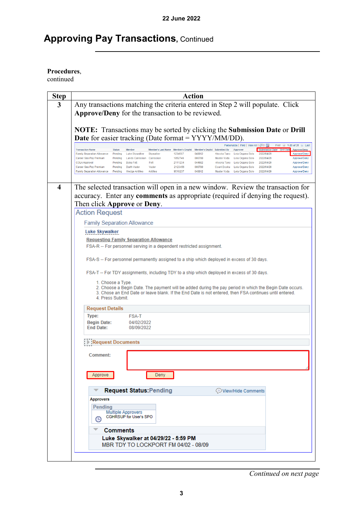## **Approving Pay Transactions, Continued**

#### **Procedures**,

| <b>Step</b>             | Action                                                                                                                                                                                                                                                                                                                    |
|-------------------------|---------------------------------------------------------------------------------------------------------------------------------------------------------------------------------------------------------------------------------------------------------------------------------------------------------------------------|
| 3                       | Any transactions matching the criteria entered in Step 2 will populate. Click                                                                                                                                                                                                                                             |
|                         | Approve/Deny for the transaction to be reviewed.                                                                                                                                                                                                                                                                          |
|                         |                                                                                                                                                                                                                                                                                                                           |
|                         | <b>NOTE:</b> Transactions may be sorted by clicking the <b>Submission Date</b> or <b>Drill</b>                                                                                                                                                                                                                            |
|                         | <b>Date</b> for easier tracking (Date format = YYYY/MM/DD).                                                                                                                                                                                                                                                               |
|                         | Personalize   Find   View All   <mark>2</mark>   공<br>First 4 1-20 of 31 (b) Last<br><b>Transaction Name</b><br><b>Status</b><br>Member<br>Member's Last Name Member's Emplid Member's Deptid Submitted By<br>Approver<br>Submission Date: Drill Date Approve/Deny                                                        |
|                         | 1234567<br>048812<br>Leia Organa Solo 2022/04/29<br><b>Family Separation Allowance</b><br>Pending<br>Luke Skywalker<br>Skywalker<br>Approve/Deny<br>Ahsoka Tano<br>000780<br>Career Sea Pay Premium<br>Pending<br>Lando Calrissian Calrissian<br>1852746<br>Master Yoda<br>Leia Organa Solo<br>2022/04/29<br>Approve/Deny |
|                         | 2111234<br>044682<br>Ahsoka Tano Leia Organa Solo<br><b>COLA Approval</b><br>Pendina<br><b>Boba Fett</b><br>Fett<br>2022/04/29<br>Approve/Deny<br>Career Sea Pay Premium<br>Pending<br>Darth Vader<br>Vader<br>2123456<br>000780<br>Count Dooku Leia Organa Solo<br>2022/04/29<br>Approve/Deny                            |
|                         | Antilles<br>9516237<br>048812<br>Master Yoda Leia Organa Solo 2022/04/29<br>Family Separation Allowance  Pending  Wedge Antilles<br>Approve/Deny                                                                                                                                                                          |
|                         |                                                                                                                                                                                                                                                                                                                           |
| $\overline{\mathbf{4}}$ | The selected transaction will open in a new window. Review the transaction for                                                                                                                                                                                                                                            |
|                         | accuracy. Enter any <b>comments</b> as appropriate (required if denying the request).                                                                                                                                                                                                                                     |
|                         | Then click Approve or Deny.                                                                                                                                                                                                                                                                                               |
|                         | <b>Action Request</b>                                                                                                                                                                                                                                                                                                     |
|                         | <b>Family Separation Allowance</b>                                                                                                                                                                                                                                                                                        |
|                         | Luke Skywalker                                                                                                                                                                                                                                                                                                            |
|                         | <b>Requesting Family Separation Allowance</b>                                                                                                                                                                                                                                                                             |
|                         | FSA-R -- For personnel serving in a dependent restricted assignment.                                                                                                                                                                                                                                                      |
|                         | FSA-S -- For personnel permanently assigned to a ship which deployed in excess of 30 days.                                                                                                                                                                                                                                |
|                         |                                                                                                                                                                                                                                                                                                                           |
|                         | FSA-T -- For TDY assignments, including TDY to a ship which deployed in excess of 30 days.                                                                                                                                                                                                                                |
|                         | 1. Choose a Type.                                                                                                                                                                                                                                                                                                         |
|                         | 2. Choose a Begin Date. The payment will be added during the pay period in which the Begin Date occurs.<br>3. Chose an End Date or leave blank. If the End Date is not entered, then FSA continues until entered.                                                                                                         |
|                         | 4. Press Submit.                                                                                                                                                                                                                                                                                                          |
|                         | <b>Request Details</b>                                                                                                                                                                                                                                                                                                    |
|                         | Type:<br><b>FSA-T</b>                                                                                                                                                                                                                                                                                                     |
|                         | <b>Begin Date:</b><br>04/02/2022                                                                                                                                                                                                                                                                                          |
|                         | <b>End Date:</b><br>08/09/2022                                                                                                                                                                                                                                                                                            |
|                         | Request Documents                                                                                                                                                                                                                                                                                                         |
|                         |                                                                                                                                                                                                                                                                                                                           |
|                         | Comment:                                                                                                                                                                                                                                                                                                                  |
|                         |                                                                                                                                                                                                                                                                                                                           |
|                         | Approve<br>Deny                                                                                                                                                                                                                                                                                                           |
|                         |                                                                                                                                                                                                                                                                                                                           |
|                         | <b>Request Status: Pending</b><br>(⊜) View/Hide Comments                                                                                                                                                                                                                                                                  |
|                         | <b>Approvers</b>                                                                                                                                                                                                                                                                                                          |
|                         | Pending                                                                                                                                                                                                                                                                                                                   |
|                         | <b>Multiple Approvers</b><br><b>CGHRSUP</b> for User's SPO<br>(り                                                                                                                                                                                                                                                          |
|                         |                                                                                                                                                                                                                                                                                                                           |
|                         | Comments                                                                                                                                                                                                                                                                                                                  |
|                         | Luke Skywalker at 04/29/22 - 5:59 PM<br>MBR TDY TO LOCKPORT FM 04/02 - 08/09                                                                                                                                                                                                                                              |
|                         |                                                                                                                                                                                                                                                                                                                           |
|                         |                                                                                                                                                                                                                                                                                                                           |

*Continued on next page*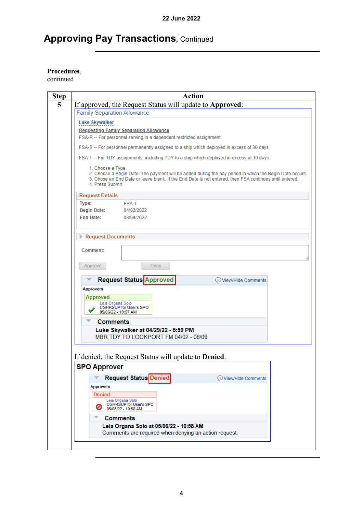## **Approving Pay Transactions, Continued**

#### **Procedures**,

| <b>Step</b> | <b>Action</b>                                                                                                                                                                                                                                              |
|-------------|------------------------------------------------------------------------------------------------------------------------------------------------------------------------------------------------------------------------------------------------------------|
| 5           | If approved, the Request Status will update to Approved:                                                                                                                                                                                                   |
|             | <b>Family Separation Allowance</b>                                                                                                                                                                                                                         |
|             | Luke Skywalker                                                                                                                                                                                                                                             |
|             | <b>Requesting Family Separation Allowance</b>                                                                                                                                                                                                              |
|             | FSA-R -- For personnel serving in a dependent restricted assignment.                                                                                                                                                                                       |
|             | FSA-S -- For personnel permanently assigned to a ship which deployed in excess of 30 days.                                                                                                                                                                 |
|             | FSA-T -- For TDY assignments, including TDY to a ship which deployed in excess of 30 days.                                                                                                                                                                 |
|             | 1. Choose a Type.<br>2. Choose a Begin Date. The payment will be added during the pay period in which the Begin Date occurs.<br>3. Chose an End Date or leave blank. If the End Date is not entered, then FSA continues until entered.<br>4. Press Submit. |
|             | <b>Request Details</b>                                                                                                                                                                                                                                     |
|             | Type:<br><b>FSA-T</b>                                                                                                                                                                                                                                      |
|             | <b>Begin Date:</b><br>04/02/2022<br><b>End Date:</b><br>08/09/2022                                                                                                                                                                                         |
|             |                                                                                                                                                                                                                                                            |
|             | Request Documents                                                                                                                                                                                                                                          |
|             | Comment:                                                                                                                                                                                                                                                   |
|             | Deny<br>Approve                                                                                                                                                                                                                                            |
|             | <b>Request Status Approved</b><br>View/Hide Comments                                                                                                                                                                                                       |
|             | <b>Approvers</b>                                                                                                                                                                                                                                           |
|             | <b>Approved</b>                                                                                                                                                                                                                                            |
|             | Leia Organa Solo<br><b>CGHRSUP for User's SPO</b><br>05/06/22 - 10:57 AM                                                                                                                                                                                   |
|             | <b>Comments</b>                                                                                                                                                                                                                                            |
|             | Luke Skywalker at 04/29/22 - 5:59 PM                                                                                                                                                                                                                       |
|             | MBR TDY TO LOCKPORT FM 04/02 - 08/09                                                                                                                                                                                                                       |
|             |                                                                                                                                                                                                                                                            |
|             | If denied, the Request Status will update to <b>Denied</b> .                                                                                                                                                                                               |
|             | <b>SPO Approver</b>                                                                                                                                                                                                                                        |
|             | <b>Request Status Denied</b><br>View/Hide Comments                                                                                                                                                                                                         |
|             | <b>Approvers</b>                                                                                                                                                                                                                                           |
|             | <b>Denied</b>                                                                                                                                                                                                                                              |
|             | Leia Organa Solo<br>CGHRSUP for User's SPO                                                                                                                                                                                                                 |
|             | 05/06/22 - 10:58 AM                                                                                                                                                                                                                                        |
|             | <b>Comments</b>                                                                                                                                                                                                                                            |
|             | Leia Organa Solo at 05/06/22 - 10:58 AM<br>Comments are required when denying an action request.                                                                                                                                                           |
|             |                                                                                                                                                                                                                                                            |
|             |                                                                                                                                                                                                                                                            |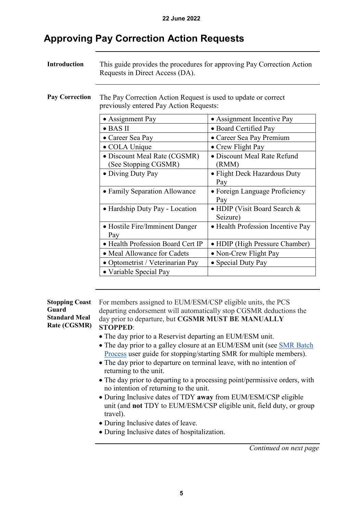### <span id="page-4-0"></span>**Approving Pay Correction Action Requests**

| <b>Introduction</b>   | This guide provides the procedures for approving Pay Correction Action<br>Requests in Direct Access (DA). |                                          |
|-----------------------|-----------------------------------------------------------------------------------------------------------|------------------------------------------|
| <b>Pay Correction</b> | The Pay Correction Action Request is used to update or correct<br>previously entered Pay Action Requests: |                                          |
|                       | • Assignment Pay                                                                                          | • Assignment Incentive Pay               |
|                       | $\bullet$ BAS II                                                                                          | • Board Certified Pay                    |
|                       | • Career Sea Pay                                                                                          | • Career Sea Pay Premium                 |
|                       | • COLA Unique                                                                                             | • Crew Flight Pay                        |
|                       | · Discount Meal Rate (CGSMR)<br>(See Stopping CGSMR)                                                      | • Discount Meal Rate Refund<br>(RMM)     |
|                       | • Diving Duty Pay                                                                                         | • Flight Deck Hazardous Duty<br>Pay      |
|                       | • Family Separation Allowance                                                                             | • Foreign Language Proficiency<br>Pay    |
|                       | • Hardship Duty Pay - Location                                                                            | • HDIP (Visit Board Search &<br>Seizure) |
|                       | • Hostile Fire/Imminent Danger<br>Pay                                                                     | • Health Profession Incentive Pay        |
|                       | · Health Profession Board Cert IP                                                                         | • HDIP (High Pressure Chamber)           |
|                       | • Meal Allowance for Cadets                                                                               | • Non-Crew Flight Pay                    |
|                       | · Optometrist / Veterinarian Pay                                                                          | • Special Duty Pay                       |
|                       | • Variable Special Pay                                                                                    |                                          |

#### **Stopping Coast Guard Standard Meal Rate (CGSMR)**

For members assigned to EUM/ESM/CSP eligible units, the PCS departing endorsement will automatically stop CGSMR deductions the day prior to departure, but **CGSMR MUST BE MANUALLY STOPPED**:

- The day prior to a Reservist departing an EUM/ESM unit.
- The day prior to a galley closure at an EUM/ESM unit (see [SMR Batch](https://www.dcms.uscg.mil/Portals/10/CG-1/PPC/GUIDES/GP/SPO/Earnings/SMRBatchProcess.pdf)  [Process](https://www.dcms.uscg.mil/Portals/10/CG-1/PPC/GUIDES/GP/SPO/Earnings/SMRBatchProcess.pdf) user guide for stopping/starting SMR for multiple members).
- The day prior to departure on terminal leave, with no intention of returning to the unit.
- The day prior to departing to a processing point/permissive orders, with no intention of returning to the unit.
- During Inclusive dates of TDY **away** from EUM/ESM/CSP eligible unit (and **not** TDY to EUM/ESM/CSP eligible unit, field duty, or group travel).
- During Inclusive dates of leave.
- During Inclusive dates of hospitalization.

*Continued on next page*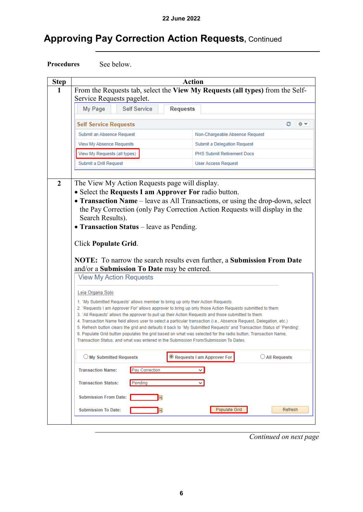## **Approving Pay Correction Action Requests,** Continued

Procedures See below.

| <b>Step</b> | <b>Action</b>                                                                                                                                                                                                                                                                                                                                                                                                                                                                                                                                                                                                                                                                                                                                                 |                                                       |
|-------------|---------------------------------------------------------------------------------------------------------------------------------------------------------------------------------------------------------------------------------------------------------------------------------------------------------------------------------------------------------------------------------------------------------------------------------------------------------------------------------------------------------------------------------------------------------------------------------------------------------------------------------------------------------------------------------------------------------------------------------------------------------------|-------------------------------------------------------|
| 1           | From the Requests tab, select the View My Requests (all types) from the Self-<br>Service Requests pagelet.                                                                                                                                                                                                                                                                                                                                                                                                                                                                                                                                                                                                                                                    |                                                       |
|             | My Page<br><b>Self Service</b><br><b>Requests</b>                                                                                                                                                                                                                                                                                                                                                                                                                                                                                                                                                                                                                                                                                                             |                                                       |
|             | <b>Self Service Requests</b>                                                                                                                                                                                                                                                                                                                                                                                                                                                                                                                                                                                                                                                                                                                                  |                                                       |
|             | Submit an Absence Request                                                                                                                                                                                                                                                                                                                                                                                                                                                                                                                                                                                                                                                                                                                                     | Non-Chargeable Absence Request                        |
|             | View My Absence Requests                                                                                                                                                                                                                                                                                                                                                                                                                                                                                                                                                                                                                                                                                                                                      | Submit a Delegation Request                           |
|             | View My Requests (all types)                                                                                                                                                                                                                                                                                                                                                                                                                                                                                                                                                                                                                                                                                                                                  | PHS Submit Retirement Docs                            |
|             | Submit a Drill Request                                                                                                                                                                                                                                                                                                                                                                                                                                                                                                                                                                                                                                                                                                                                        | <b>User Access Request</b>                            |
|             | the Pay Correction (only Pay Correction Action Requests will display in the<br>Search Results).<br>• Transaction Status – leave as Pending.<br><b>Click Populate Grid.</b><br><b>NOTE:</b> To narrow the search results even further, a <b>Submission From Date</b><br>and/or a <b>Submission To Date</b> may be entered.<br><b>View My Action Requests</b><br>Leia Organa Solo                                                                                                                                                                                                                                                                                                                                                                               |                                                       |
|             | 1. 'My Submitted Requests' allows member to bring up only their Action Requests.<br>2. 'Requests I am Approver For' allows approver to bring up only those Action Requests submitted to them.<br>3. 'All Requests' allows the approver to pull up their Action Requests and those submitted to them.<br>4. Transaction Name field allows user to select a particular transaction (i.e., Absence Request, Delegation, etc.)<br>5. Refresh button clears the grid and defaults it back to `My Submitted Requests' and Transaction Status of `Pending'.<br>6. Populate Grid button populates the grid based on what was selected for the radio button, Transaction Name,<br>Transaction Status, and what was entered in the Submission From/Submission To Dates. |                                                       |
|             | $\bigcirc$ My Submitted Requests                                                                                                                                                                                                                                                                                                                                                                                                                                                                                                                                                                                                                                                                                                                              | $\bigcirc$ All Requests<br>Requests I am Approver For |
|             | Pay Correction<br><b>Transaction Name:</b>                                                                                                                                                                                                                                                                                                                                                                                                                                                                                                                                                                                                                                                                                                                    | $\checkmark$                                          |
|             | <b>Transaction Status:</b><br>Pending                                                                                                                                                                                                                                                                                                                                                                                                                                                                                                                                                                                                                                                                                                                         | $\checkmark$                                          |
|             | <b>Submission From Date:</b><br>B <sub>1</sub>                                                                                                                                                                                                                                                                                                                                                                                                                                                                                                                                                                                                                                                                                                                |                                                       |
|             | <b>Submission To Date:</b><br><b>Bi</b>                                                                                                                                                                                                                                                                                                                                                                                                                                                                                                                                                                                                                                                                                                                       | Populate Grid<br>Refresh                              |
|             |                                                                                                                                                                                                                                                                                                                                                                                                                                                                                                                                                                                                                                                                                                                                                               |                                                       |

*Continued on next page*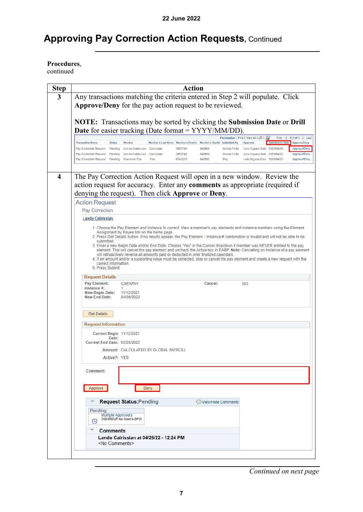### **Approving Pay Correction Action Requests,** Continued

**Procedures**,

| <b>Step</b> | <b>Action</b>                                                                                                                                                                                                                                                                    |
|-------------|----------------------------------------------------------------------------------------------------------------------------------------------------------------------------------------------------------------------------------------------------------------------------------|
| 3           | Any transactions matching the criteria entered in Step 2 will populate. Click                                                                                                                                                                                                    |
|             | <b>Approve/Deny</b> for the pay action request to be reviewed.                                                                                                                                                                                                                   |
|             |                                                                                                                                                                                                                                                                                  |
|             | <b>NOTE:</b> Transactions may be sorted by clicking the <b>Submission Date</b> or <b>Drill</b>                                                                                                                                                                                   |
|             | <b>Date</b> for easier tracking (Date format = YYYY/MM/DD).                                                                                                                                                                                                                      |
|             | Personalize   Find   View All   관  <br>$\bullet$ 1-3 of 3 $\bullet$ Last<br>ı.<br>First<br><b>Transaction Name</b><br><b>Status</b><br><b>Member</b><br>Member's Last Name Member's Emplid Member's Deptid Submitted By<br>Approver<br>Submission Date<br>Approve/Deny           |
|             | Pay Correction Request Pending<br>Lando Calrissian Calrissian<br>1852746<br>042898<br>Master Yoda<br>Leia Organa Solo 2022/04/26<br>Approve/Deny                                                                                                                                 |
|             | 042898<br>Pay Correction Request Pending<br>Lando Calrissian Calrissian<br>1852746<br>Master Yoda Leia Organa Solo 2022/04/22<br>Approve/Deny<br>Dameron Poe<br>6543215<br>042898<br>Pay Correction Request Pending<br>Poe<br>Rey<br>Leia Organa Solo 2022/04/22<br>Approve/Deny |
|             |                                                                                                                                                                                                                                                                                  |
| 4           | The Pay Correction Action Request will open in a new window. Review the                                                                                                                                                                                                          |
|             | action request for accuracy. Enter any <b>comments</b> as appropriate (required if                                                                                                                                                                                               |
|             | denying the request). Then click Approve or Deny.                                                                                                                                                                                                                                |
|             | <b>Action Request</b>                                                                                                                                                                                                                                                            |
|             | Pay Correction                                                                                                                                                                                                                                                                   |
|             | <b>Lando Calrissian</b>                                                                                                                                                                                                                                                          |
|             | 1. Choose the Pay Element and Instance to correct. View a member's pay elements and instance numbers using the Element                                                                                                                                                           |
|             | Assignment by Payee link on the home page.<br>2. Press Get Details button. If no results appear, the Pay Element - Instance # combination is invalid and will not be able to be                                                                                                  |
|             | submitted.<br>3. Enter a new Begin Date and/or End Date. Choose "Yes" in the Cancel dropdown if member was NEVER entitled to the pay                                                                                                                                             |
|             | element. This will cancel the pay element and uncheck the Active box in EABP. Note: Cancelling an instance of a pay element<br>will retroactively reverse all amounts paid or deducted in prior finalized calendars.                                                             |
|             | 4. If an amount and/or a supporting value must be corrected, stop or cancel the pay element and create a new request with the<br>correct information.                                                                                                                            |
|             | 5. Press Submit.                                                                                                                                                                                                                                                                 |
|             | <b>Request Details</b>                                                                                                                                                                                                                                                           |
|             | Pay Element:<br>Cancel:<br><b>CSEAPAY</b><br><b>NO</b><br>Instance #:<br>1.                                                                                                                                                                                                      |
|             | New Begin Date: 11/12/2021<br>New End Date:<br>04/09/2022                                                                                                                                                                                                                        |
|             |                                                                                                                                                                                                                                                                                  |
|             | <b>Get Details</b>                                                                                                                                                                                                                                                               |
|             |                                                                                                                                                                                                                                                                                  |
|             | <b>Request Information</b>                                                                                                                                                                                                                                                       |
|             | Current Begin 11/12/2021<br>Date:                                                                                                                                                                                                                                                |
|             | <b>Current End Date: 03/28/2022</b>                                                                                                                                                                                                                                              |
|             | Amount: CALCULATED BY GLOBAL PAYROLL<br>Active?: YES                                                                                                                                                                                                                             |
|             |                                                                                                                                                                                                                                                                                  |
|             | Comment:                                                                                                                                                                                                                                                                         |
|             |                                                                                                                                                                                                                                                                                  |
|             | Approve<br>Deny                                                                                                                                                                                                                                                                  |
|             | <b>Request Status: Pending</b>                                                                                                                                                                                                                                                   |
|             | View/Hide Comments                                                                                                                                                                                                                                                               |
|             | Pending<br><b>Multiple Approvers</b>                                                                                                                                                                                                                                             |
|             | <b>CGHRSUP</b> for User's SPO<br>⊕                                                                                                                                                                                                                                               |
|             | <b>Comments</b>                                                                                                                                                                                                                                                                  |
|             | Lando Calrissian at 04/26/22 - 12:24 PM<br><no comments=""></no>                                                                                                                                                                                                                 |
|             |                                                                                                                                                                                                                                                                                  |
|             |                                                                                                                                                                                                                                                                                  |

*Continued on next page*